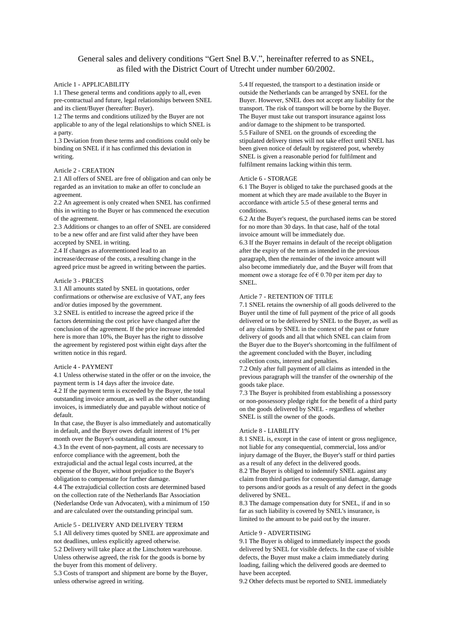# General sales and delivery conditions "Gert Snel B.V.", hereinafter referred to as SNEL, as filed with the District Court of Utrecht under number 60/2002.

# Article 1 - APPLICABILITY

1.1 These general terms and conditions apply to all, even pre-contractual and future, legal relationships between SNEL and its client/Buyer (hereafter: Buyer).

1.2 The terms and conditions utilized by the Buyer are not applicable to any of the legal relationships to which SNEL is a party.

1.3 Deviation from these terms and conditions could only be binding on SNEL if it has confirmed this deviation in writing.

# Article 2 - CREATION

2.1 All offers of SNEL are free of obligation and can only be regarded as an invitation to make an offer to conclude an agreement.

2.2 An agreement is only created when SNEL has confirmed this in writing to the Buyer or has commenced the execution of the agreement.

2.3 Additions or changes to an offer of SNEL are considered to be a new offer and are first valid after they have been accepted by SNEL in writing.

2.4 If changes as aforementioned lead to an increase/decrease of the costs, a resulting change in the agreed price must be agreed in writing between the parties.

#### Article 3 - PRICES

3.1 All amounts stated by SNEL in quotations, order confirmations or otherwise are exclusive of VAT, any fees and/or duties imposed by the government.

3.2 SNEL is entitled to increase the agreed price if the factors determining the cost price have changed after the conclusion of the agreement. If the price increase intended here is more than 10%, the Buyer has the right to dissolve the agreement by registered post within eight days after the written notice in this regard.

# Article 4 - PAYMENT

4.1 Unless otherwise stated in the offer or on the invoice, the payment term is 14 days after the invoice date.

4.2 If the payment term is exceeded by the Buyer, the total outstanding invoice amount, as well as the other outstanding invoices, is immediately due and payable without notice of default.

In that case, the Buyer is also immediately and automatically in default, and the Buyer owes default interest of 1% per month over the Buyer's outstanding amount. 4.3 In the event of non-payment, all costs are necessary to enforce compliance with the agreement, both the extrajudicial and the actual legal costs incurred, at the

expense of the Buyer, without prejudice to the Buyer's obligation to compensate for further damage. 4.4 The extrajudicial collection costs are determined based

on the collection rate of the Netherlands Bar Association (Nederlandse Orde van Advocaten), with a minimum of 150 and are calculated over the outstanding principal sum.

# Article 5 - DELIVERY AND DELIVERY TERM

5.1 All delivery times quoted by SNEL are approximate and not deadlines, unless explicitly agreed otherwise. 5.2 Delivery will take place at the Linschoten warehouse. Unless otherwise agreed, the risk for the goods is borne by the buyer from this moment of delivery.

5.3 Costs of transport and shipment are borne by the Buyer, unless otherwise agreed in writing.

5.4 If requested, the transport to a destination inside or outside the Netherlands can be arranged by SNEL for the Buyer. However, SNEL does not accept any liability for the transport. The risk of transport will be borne by the Buyer. The Buyer must take out transport insurance against loss and/or damage to the shipment to be transported. 5.5 Failure of SNEL on the grounds of exceeding the stipulated delivery times will not take effect until SNEL has been given notice of default by registered post, whereby SNEL is given a reasonable period for fulfilment and fulfilment remains lacking within this term.

#### Article 6 - STORAGE

6.1 The Buyer is obliged to take the purchased goods at the moment at which they are made available to the Buyer in accordance with article 5.5 of these general terms and conditions.

6.2 At the Buyer's request, the purchased items can be stored for no more than 30 days. In that case, half of the total invoice amount will be immediately due.

6.3 If the Buyer remains in default of the receipt obligation after the expiry of the term as intended in the previous paragraph, then the remainder of the invoice amount will also become immediately due, and the Buyer will from that moment owe a storage fee of  $\epsilon$  0.70 per item per day to SNEL.

# Article 7 - RETENTION OF TITLE

7.1 SNEL retains the ownership of all goods delivered to the Buyer until the time of full payment of the price of all goods delivered or to be delivered by SNEL to the Buyer, as well as of any claims by SNEL in the context of the past or future delivery of goods and all that which SNEL can claim from the Buyer due to the Buyer's shortcoming in the fulfilment of the agreement concluded with the Buyer, including collection costs, interest and penalties.

7.2 Only after full payment of all claims as intended in the previous paragraph will the transfer of the ownership of the goods take place.

7.3 The Buyer is prohibited from establishing a possessory or non-possessory pledge right for the benefit of a third party on the goods delivered by SNEL - regardless of whether SNEL is still the owner of the goods.

# Article 8 - LIABILITY

8.1 SNEL is, except in the case of intent or gross negligence, not liable for any consequential, commercial, loss and/or injury damage of the Buyer, the Buyer's staff or third parties as a result of any defect in the delivered goods. 8.2 The Buyer is obliged to indemnify SNEL against any

claim from third parties for consequential damage, damage to persons and/or goods as a result of any defect in the goods delivered by SNEL.

8.3 The damage compensation duty for SNEL, if and in so far as such liability is covered by SNEL's insurance, is limited to the amount to be paid out by the insurer.

#### Article 9 - ADVERTISING

9.1 The Buyer is obliged to immediately inspect the goods delivered by SNEL for visible defects. In the case of visible defects, the Buyer must make a claim immediately during loading, failing which the delivered goods are deemed to have been accepted.

9.2 Other defects must be reported to SNEL immediately